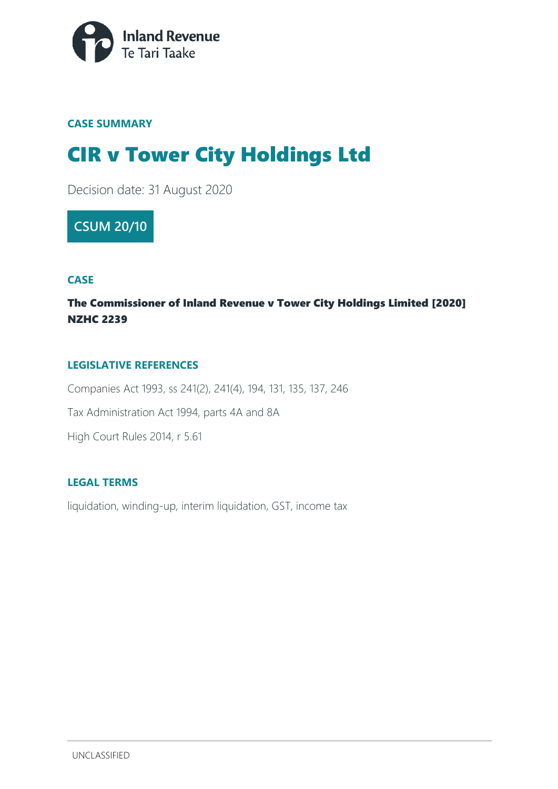

### **CASE SUMMARY**

# CIR v Tower City Holdings Ltd

Decision date: 31 August 2020

### **CSUM 20/10**

### **CASE**

### The Commissioner of Inland Revenue v Tower City Holdings Limited [2020] NZHC 2239

### **LEGISLATIVE REFERENCES**

Companies Act 1993, ss 241(2), 241(4), 194, 131, 135, 137, 246 Tax Administration Act 1994, parts 4A and 8A High Court Rules 2014, r 5.61

#### **LEGAL TERMS**

liquidation, winding-up, interim liquidation, GST, income tax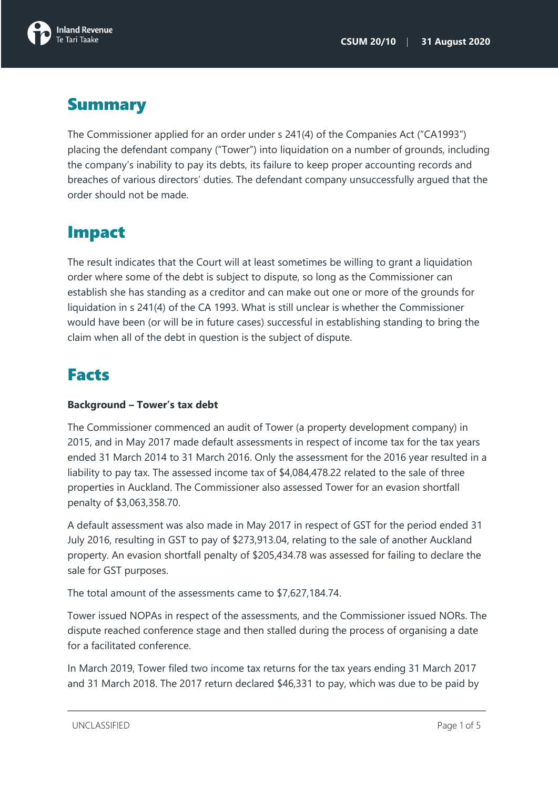

## **Summary**

The Commissioner applied for an order under s 241(4) of the Companies Act ("CA1993") placing the defendant company ("Tower") into liquidation on a number of grounds, including the company's inability to pay its debts, its failure to keep proper accounting records and breaches of various directors' duties. The defendant company unsuccessfully argued that the order should not be made.

## Impact

The result indicates that the Court will at least sometimes be willing to grant a liquidation order where some of the debt is subject to dispute, so long as the Commissioner can establish she has standing as a creditor and can make out one or more of the grounds for liquidation in s 241(4) of the CA 1993. What is still unclear is whether the Commissioner would have been (or will be in future cases) successful in establishing standing to bring the claim when all of the debt in question is the subject of dispute.

## Facts

### **Background – Tower's tax debt**

The Commissioner commenced an audit of Tower (a property development company) in 2015, and in May 2017 made default assessments in respect of income tax for the tax years ended 31 March 2014 to 31 March 2016. Only the assessment for the 2016 year resulted in a liability to pay tax. The assessed income tax of \$4,084,478.22 related to the sale of three properties in Auckland. The Commissioner also assessed Tower for an evasion shortfall penalty of \$3,063,358.70.

A default assessment was also made in May 2017 in respect of GST for the period ended 31 July 2016, resulting in GST to pay of \$273,913.04, relating to the sale of another Auckland property. An evasion shortfall penalty of \$205,434.78 was assessed for failing to declare the sale for GST purposes.

The total amount of the assessments came to \$7,627,184.74.

Tower issued NOPAs in respect of the assessments, and the Commissioner issued NORs. The dispute reached conference stage and then stalled during the process of organising a date for a facilitated conference.

In March 2019, Tower filed two income tax returns for the tax years ending 31 March 2017 and 31 March 2018. The 2017 return declared \$46,331 to pay, which was due to be paid by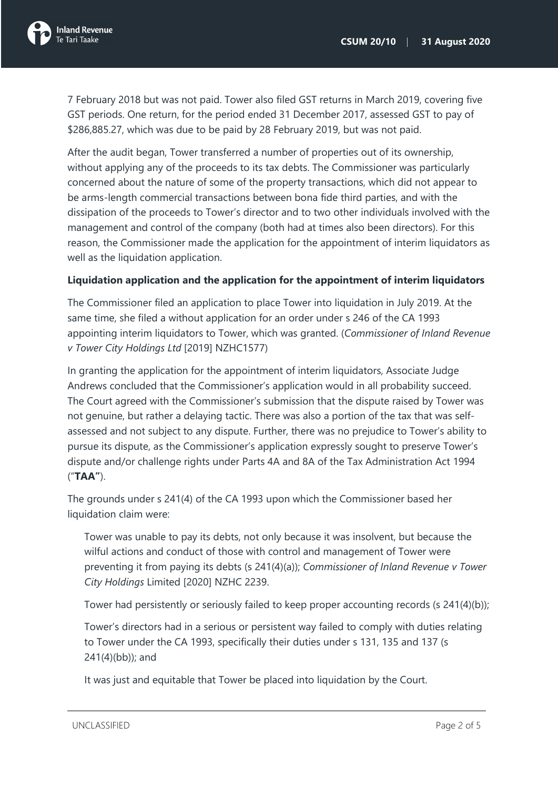

7 February 2018 but was not paid. Tower also filed GST returns in March 2019, covering five GST periods. One return, for the period ended 31 December 2017, assessed GST to pay of \$286,885.27, which was due to be paid by 28 February 2019, but was not paid.

After the audit began, Tower transferred a number of properties out of its ownership, without applying any of the proceeds to its tax debts. The Commissioner was particularly concerned about the nature of some of the property transactions, which did not appear to be arms-length commercial transactions between bona fide third parties, and with the dissipation of the proceeds to Tower's director and to two other individuals involved with the management and control of the company (both had at times also been directors). For this reason, the Commissioner made the application for the appointment of interim liquidators as well as the liquidation application.

#### **Liquidation application and the application for the appointment of interim liquidators**

The Commissioner filed an application to place Tower into liquidation in July 2019. At the same time, she filed a without application for an order under s 246 of the CA 1993 appointing interim liquidators to Tower, which was granted. (*Commissioner of Inland Revenue v Tower City Holdings Ltd* [2019] NZHC1577)

In granting the application for the appointment of interim liquidators, Associate Judge Andrews concluded that the Commissioner's application would in all probability succeed. The Court agreed with the Commissioner's submission that the dispute raised by Tower was not genuine, but rather a delaying tactic. There was also a portion of the tax that was selfassessed and not subject to any dispute. Further, there was no prejudice to Tower's ability to pursue its dispute, as the Commissioner's application expressly sought to preserve Tower's dispute and/or challenge rights under Parts 4A and 8A of the Tax Administration Act 1994 ("**TAA"**).

The grounds under s 241(4) of the CA 1993 upon which the Commissioner based her liquidation claim were:

Tower was unable to pay its debts, not only because it was insolvent, but because the wilful actions and conduct of those with control and management of Tower were preventing it from paying its debts (s 241(4)(a)); *Commissioner of Inland Revenue v Tower City Holdings* Limited [2020] NZHC 2239.

Tower had persistently or seriously failed to keep proper accounting records (s 241(4)(b));

Tower's directors had in a serious or persistent way failed to comply with duties relating to Tower under the CA 1993, specifically their duties under s 131, 135 and 137 (s 241(4)(bb)); and

It was just and equitable that Tower be placed into liquidation by the Court.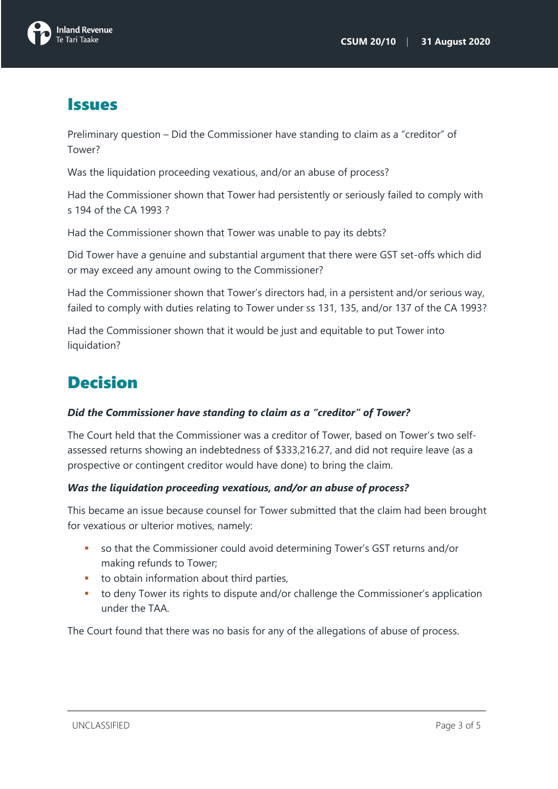

### Issues

Preliminary question – Did the Commissioner have standing to claim as a "creditor" of Tower?

Was the liquidation proceeding vexatious, and/or an abuse of process?

Had the Commissioner shown that Tower had persistently or seriously failed to comply with s 194 of the CA 1993 ?

Had the Commissioner shown that Tower was unable to pay its debts?

Did Tower have a genuine and substantial argument that there were GST set-offs which did or may exceed any amount owing to the Commissioner?

Had the Commissioner shown that Tower's directors had, in a persistent and/or serious way, failed to comply with duties relating to Tower under ss 131, 135, and/or 137 of the CA 1993?

Had the Commissioner shown that it would be just and equitable to put Tower into liquidation?

## Decision

### *Did the Commissioner have standing to claim as a "creditor" of Tower?*

The Court held that the Commissioner was a creditor of Tower, based on Tower's two selfassessed returns showing an indebtedness of \$333,216.27, and did not require leave (as a prospective or contingent creditor would have done) to bring the claim.

### *Was the liquidation proceeding vexatious, and/or an abuse of process?*

This became an issue because counsel for Tower submitted that the claim had been brought for vexatious or ulterior motives, namely:

- so that the Commissioner could avoid determining Tower's GST returns and/or making refunds to Tower;
- **to obtain information about third parties,**
- to deny Tower its rights to dispute and/or challenge the Commissioner's application under the TAA.

The Court found that there was no basis for any of the allegations of abuse of process.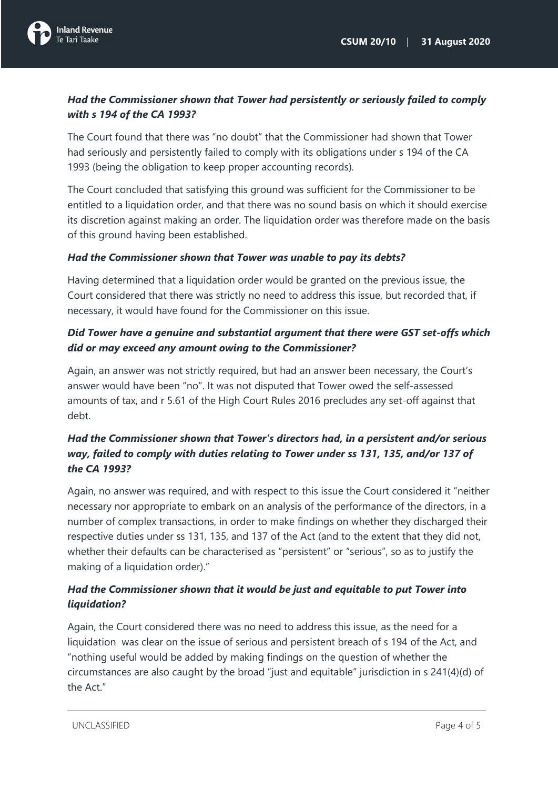

### *Had the Commissioner shown that Tower had persistently or seriously failed to comply with s 194 of the CA 1993?*

The Court found that there was "no doubt" that the Commissioner had shown that Tower had seriously and persistently failed to comply with its obligations under s 194 of the CA 1993 (being the obligation to keep proper accounting records).

The Court concluded that satisfying this ground was sufficient for the Commissioner to be entitled to a liquidation order, and that there was no sound basis on which it should exercise its discretion against making an order. The liquidation order was therefore made on the basis of this ground having been established.

### *Had the Commissioner shown that Tower was unable to pay its debts?*

Having determined that a liquidation order would be granted on the previous issue, the Court considered that there was strictly no need to address this issue, but recorded that, if necessary, it would have found for the Commissioner on this issue.

### *Did Tower have a genuine and substantial argument that there were GST set-offs which did or may exceed any amount owing to the Commissioner?*

Again, an answer was not strictly required, but had an answer been necessary, the Court's answer would have been "no". It was not disputed that Tower owed the self-assessed amounts of tax, and r 5.61 of the High Court Rules 2016 precludes any set-off against that debt.

### *Had the Commissioner shown that Tower's directors had, in a persistent and/or serious way, failed to comply with duties relating to Tower under ss 131, 135, and/or 137 of the CA 1993?*

Again, no answer was required, and with respect to this issue the Court considered it "neither necessary nor appropriate to embark on an analysis of the performance of the directors, in a number of complex transactions, in order to make findings on whether they discharged their respective duties under ss 131, 135, and 137 of the Act (and to the extent that they did not, whether their defaults can be characterised as "persistent" or "serious", so as to justify the making of a liquidation order)."

### *Had the Commissioner shown that it would be just and equitable to put Tower into liquidation?*

Again, the Court considered there was no need to address this issue, as the need for a liquidation was clear on the issue of serious and persistent breach of s 194 of the Act, and "nothing useful would be added by making findings on the question of whether the circumstances are also caught by the broad "just and equitable" jurisdiction in s 241(4)(d) of the Act"